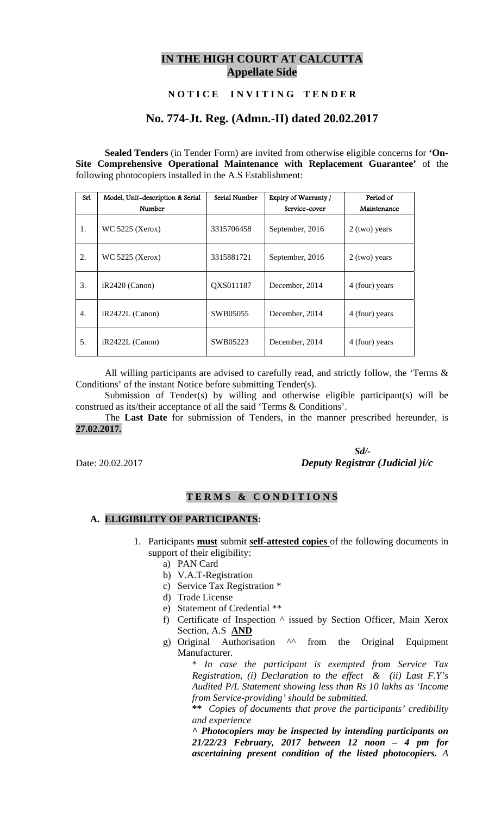# **IN THE HIGH COURT AT CALCUTTA Appellate Side**

## **N O T I C E I N V I T I N G T E N D E R**

## **No. 774-Jt. Reg. (Admn.-II) dated 20.02.2017**

**Sealed Tenders** (in Tender Form) are invited from otherwise eligible concerns for **'On-Site Comprehensive Operational Maintenance with Replacement Guarantee'** of the following photocopiers installed in the A.S Establishment:

| Srl              | Model, Unit-description & Serial | Serial Number | Expiry of Warranty / | Period of       |
|------------------|----------------------------------|---------------|----------------------|-----------------|
|                  | Number                           |               | Service-cover        | Maintenance     |
| 1.               | WC 5225 (Xerox)                  | 3315706458    | September, 2016      | $2$ (two) years |
| 2.               | <b>WC 5225 (Xerox)</b>           | 3315881721    | September, 2016      | $2$ (two) years |
| 3.               | iR2420 (Canon)                   | QXS011187     | December, 2014       | 4 (four) years  |
| $\overline{4}$ . | $iR2422L$ (Canon)                | SWB05055      | December, 2014       | 4 (four) years  |
| 5.               | iR2422L (Canon)                  | SWB05223      | December, 2014       | 4 (four) years  |

All willing participants are advised to carefully read, and strictly follow, the 'Terms & Conditions' of the instant Notice before submitting Tender(s).

Submission of Tender(s) by willing and otherwise eligible participant(s) will be construed as its/their acceptance of all the said 'Terms & Conditions'.

The **Last Date** for submission of Tenders, in the manner prescribed hereunder, is **27.02.2017***.*

 *Sd/-*  Date: 20.02.2017 *Deputy Registrar (Judicial )i/c*

#### **T E R M S & C O N D I T I O N S**

#### **A. ELIGIBILITY OF PARTICIPANTS:**

- 1. Participants **must** submit **self-attested copies** of the following documents in support of their eligibility:
	- a) PAN Card
	- b) V.A.T-Registration
	- c) Service Tax Registration \*
	- d) Trade License
	- e) Statement of Credential \*\*
	- f) Certificate of Inspection ^ issued by Section Officer, Main Xerox Section, A.S **AND**
	- g) Original Authorisation ^^ from the Original Equipment Manufacturer.

\* *In case the participant is exempted from Service Tax Registration, (i) Declaration to the effect & (ii) Last F.Y's Audited P/L Statement showing less than Rs 10 lakhs as 'Income from Service-providing' should be submitted.* 

**\*\*** *Copies of documents that prove the participants' credibility and experience* 

*^ Photocopiers may be inspected by intending participants on 21/22/23 February, 2017 between 12 noon – 4 pm for ascertaining present condition of the listed photocopiers. A*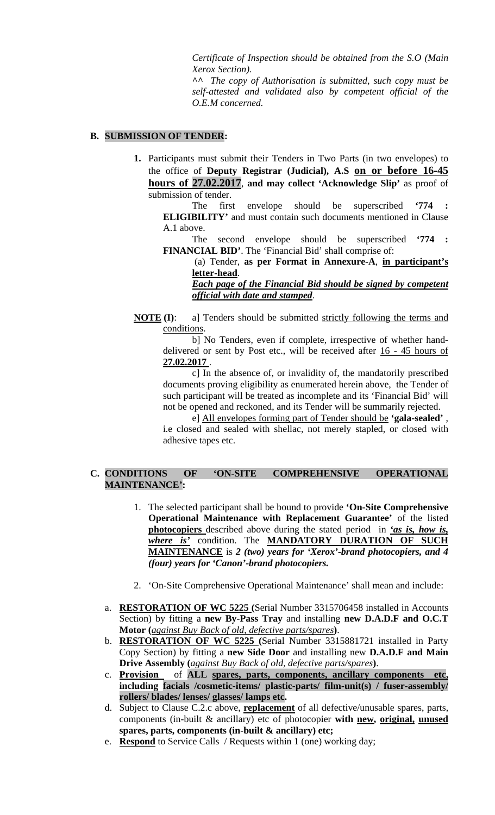*Certificate of Inspection should be obtained from the S.O (Main Xerox Section).* 

*^^ The copy of Authorisation is submitted, such copy must be self-attested and validated also by competent official of the O.E.M concerned.* 

#### **B. SUBMISSION OF TENDER:**

**1.** Participants must submit their Tenders in Two Parts (in two envelopes) to the office of **Deputy Registrar (Judicial), A.S on or before 16-45 hours of 27.02.2017**, **and may collect 'Acknowledge Slip'** as proof of submission of tender.

The first envelope should be superscribed **'774 ELIGIBILITY'** and must contain such documents mentioned in Clause A.1 above.

The second envelope should be superscribed **'774 : FINANCIAL BID'**. The 'Financial Bid' shall comprise of:

 (a) Tender, **as per Format in Annexure-A**, **in participant's letter-head**.

*Each page of the Financial Bid should be signed by competent official with date and stamped*.

**NOTE (I):** a] Tenders should be submitted strictly following the terms and conditions.

b] No Tenders, even if complete, irrespective of whether handdelivered or sent by Post etc., will be received after 16 - 45 hours of **27.02.2017** .

c] In the absence of, or invalidity of, the mandatorily prescribed documents proving eligibility as enumerated herein above, the Tender of such participant will be treated as incomplete and its 'Financial Bid' will not be opened and reckoned, and its Tender will be summarily rejected.

e] All envelopes forming part of Tender should be **'gala-sealed'** , i.e closed and sealed with shellac, not merely stapled, or closed with adhesive tapes etc.

## **C. CONDITIONS OF 'ON-SITE COMPREHENSIVE OPERATIONAL MAINTENANCE':**

- 1. The selected participant shall be bound to provide **'On-Site Comprehensive Operational Maintenance with Replacement Guarantee'** of the listed **photocopiers** described above during the stated period in *'as is, how is, where is'* condition. The **MANDATORY DURATION OF SUCH MAINTENANCE** is *2 (two) years for 'Xerox'-brand photocopiers, and 4 (four) years for 'Canon'-brand photocopiers.*
- 2. 'On-Site Comprehensive Operational Maintenance' shall mean and include:
- a. **RESTORATION OF WC 5225 (**Serial Number 3315706458 installed in Accounts Section) by fitting a **new By-Pass Tray** and installing **new D.A.D.F and O.C.T Motor (***against Buy Back of old, defective parts/spares***)**.
- b. **RESTORATION OF WC 5225 (**Serial Number 3315881721 installed in Party Copy Section) by fitting a **new Side Door** and installing new **D.A.D.F and Main Drive Assembly (***against Buy Back of old, defective parts/spares***)**.
- c. **Provision** of **ALL spares, parts, components, ancillary components etc, including facials /cosmetic-items/ plastic-parts/ film-unit(s) / fuser-assembly/ rollers/ blades/ lenses/ glasses/ lamps etc.**
- d. Subject to Clause C.2.c above, **replacement** of all defective/unusable spares, parts, components (in-built & ancillary) etc of photocopier **with new, original, unused spares, parts, components (in-built & ancillary) etc;**
- e. **Respond** to Service Calls / Requests within 1 (one) working day;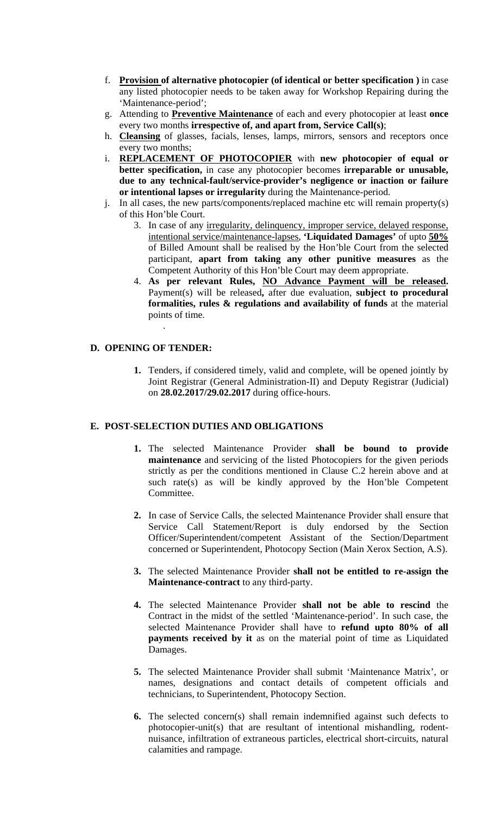- f. **Provision of alternative photocopier (of identical or better specification )** in case any listed photocopier needs to be taken away for Workshop Repairing during the 'Maintenance-period';
- g. Attending to **Preventive Maintenance** of each and every photocopier at least **once** every two months **irrespective of, and apart from, Service Call(s)**;
- h. **Cleansing** of glasses, facials, lenses, lamps, mirrors, sensors and receptors once every two months;
- i. **REPLACEMENT OF PHOTOCOPIER** with **new photocopier of equal or better specification,** in case any photocopier becomes **irreparable or unusable, due to any technical-fault/service-provider's negligence or inaction or failure or intentional lapses or irregularity** during the Maintenance-period.
- j. In all cases, the new parts/components/replaced machine etc will remain property(s) of this Hon'ble Court.
	- 3. In case of any irregularity, delinquency, improper service, delayed response, intentional service/maintenance-lapses, **'Liquidated Damages'** of upto **50%** of Billed Amount shall be realised by the Hon'ble Court from the selected participant, **apart from taking any other punitive measures** as the Competent Authority of this Hon'ble Court may deem appropriate.
	- 4. **As per relevant Rules, NO Advance Payment will be released.**  Payment(s) will be released**,** after due evaluation, **subject to procedural formalities, rules & regulations and availability of funds** at the material points of time.

### **D. OPENING OF TENDER:**

.

**1.** Tenders, if considered timely, valid and complete, will be opened jointly by Joint Registrar (General Administration-II) and Deputy Registrar (Judicial) on **28.02.2017/29.02.2017** during office-hours.

#### **E. POST-SELECTION DUTIES AND OBLIGATIONS**

- **1.** The selected Maintenance Provider **shall be bound to provide maintenance** and servicing of the listed Photocopiers for the given periods strictly as per the conditions mentioned in Clause C.2 herein above and at such rate(s) as will be kindly approved by the Hon'ble Competent Committee.
- **2.** In case of Service Calls, the selected Maintenance Provider shall ensure that Service Call Statement/Report is duly endorsed by the Section Officer/Superintendent/competent Assistant of the Section/Department concerned or Superintendent, Photocopy Section (Main Xerox Section, A.S).
- **3.** The selected Maintenance Provider **shall not be entitled to re-assign the Maintenance-contract** to any third-party.
- **4.** The selected Maintenance Provider **shall not be able to rescind** the Contract in the midst of the settled 'Maintenance-period'. In such case, the selected Maintenance Provider shall have to **refund upto 80% of all payments received by it** as on the material point of time as Liquidated Damages.
- **5.** The selected Maintenance Provider shall submit 'Maintenance Matrix', or names, designations and contact details of competent officials and technicians, to Superintendent, Photocopy Section.
- **6.** The selected concern(s) shall remain indemnified against such defects to photocopier-unit(s) that are resultant of intentional mishandling, rodentnuisance, infiltration of extraneous particles, electrical short-circuits, natural calamities and rampage.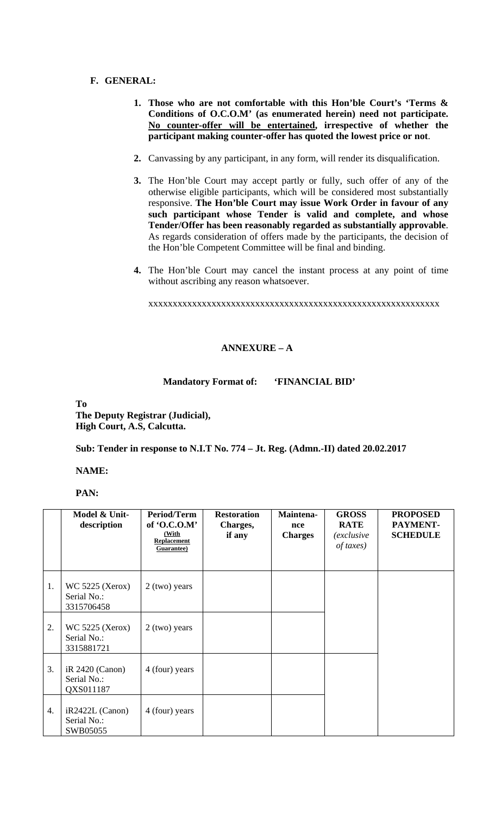### **F. GENERAL:**

- **1. Those who are not comfortable with this Hon'ble Court's 'Terms & Conditions of O.C.O.M' (as enumerated herein) need not participate. No counter-offer will be entertained, irrespective of whether the participant making counter-offer has quoted the lowest price or not**.
- **2.** Canvassing by any participant, in any form, will render its disqualification.
- **3.** The Hon'ble Court may accept partly or fully, such offer of any of the otherwise eligible participants, which will be considered most substantially responsive. **The Hon'ble Court may issue Work Order in favour of any such participant whose Tender is valid and complete, and whose Tender/Offer has been reasonably regarded as substantially approvable**. As regards consideration of offers made by the participants, the decision of the Hon'ble Competent Committee will be final and binding.
- **4.** The Hon'ble Court may cancel the instant process at any point of time without ascribing any reason whatsoever.

xxxxxxxxxxxxxxxxxxxxxxxxxxxxxxxxxxxxxxxxxxxxxxxxxxxxxxxxxxxx

## **ANNEXURE – A**

#### **Mandatory Format of: 'FINANCIAL BID'**

**To** 

**The Deputy Registrar (Judicial), High Court, A.S, Calcutta.** 

**Sub: Tender in response to N.I.T No. 774 – Jt. Reg. (Admn.-II) dated 20.02.2017** 

**NAME:** 

**PAN:** 

|    | Model & Unit-<br>description                        | <b>Period/Term</b><br>of 'O.C.O.M'<br>(With<br><b>Replacement</b><br>Guarantee) | <b>Restoration</b><br>Charges,<br>if any | Maintena-<br>nce<br><b>Charges</b> | <b>GROSS</b><br><b>RATE</b><br><i>(exclusive</i><br>of taxes) | <b>PROPOSED</b><br>PAYMENT-<br><b>SCHEDULE</b> |
|----|-----------------------------------------------------|---------------------------------------------------------------------------------|------------------------------------------|------------------------------------|---------------------------------------------------------------|------------------------------------------------|
| 1. | <b>WC 5225 (Xerox)</b><br>Serial No.:<br>3315706458 | $2$ (two) years                                                                 |                                          |                                    |                                                               |                                                |
| 2. | WC 5225 (Xerox)<br>Serial No.:<br>3315881721        | $2$ (two) years                                                                 |                                          |                                    |                                                               |                                                |
| 3. | $iR$ 2420 (Canon)<br>Serial No.:<br>QXS011187       | 4 (four) years                                                                  |                                          |                                    |                                                               |                                                |
| 4. | $iR2422L$ (Canon)<br>Serial No.:<br>SWB05055        | 4 (four) years                                                                  |                                          |                                    |                                                               |                                                |